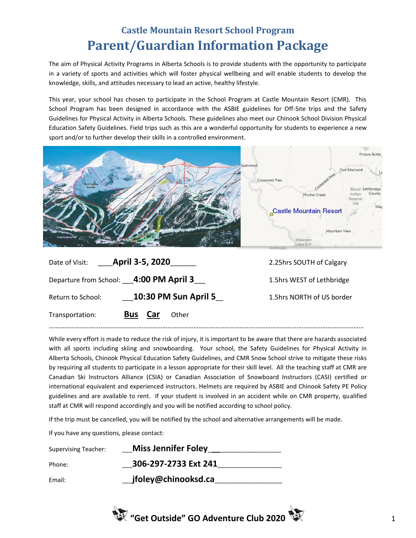## **Castle Mountain Resort School Program Parent/Guardian Information Package**

The aim of Physical Activity Programs in Alberta Schools is to provide students with the opportunity to participate in a variety of sports and activities which will foster physical wellbeing and will enable students to develop the knowledge, skills, and attitudes necessary to lead an active, healthy lifestyle.

This year, your school has chosen to participate in the School Program at Castle Mountain Resort (CMR). This School Program has been designed in accordance with the ASBIE guidelines for Off-Site trips and the Safety Guidelines for Physical Activity in Alberta Schools. These guidelines also meet our Chinook School Division Physical Education Safety Guidelines. Field trips such as this are a wonderful opportunity for students to experience a new sport and/or to further develop their skills in a controlled environment.



| Date of Visit: <b>April 3-5, 2020</b> | 2.25hrs SOUTH of Calgary               |                           |
|---------------------------------------|----------------------------------------|---------------------------|
|                                       | Departure from School: 4:00 PM April 3 | 1.5hrs WEST of Lethbridge |
| Return to School:                     | <b>10:30 PM Sun April 5</b>            | 1.5hrs NORTH of US border |
| Transportation:                       | Car<br><b>Bus</b><br>Other             |                           |

…………………………………………………………………………………………………………………………………………………………………

While every effort is made to reduce the risk of injury, it is important to be aware that there are hazards associated with all sports including skiing and snowboarding. Your school, the Safety Guidelines for Physical Activity in Alberta Schools, Chinook Physical Education Safety Guidelines, and CMR Snow School strive to mitigate these risks by requiring all students to participate in a lesson appropriate for their skill level. All the teaching staff at CMR are Canadian Ski Instructors Alliance (CSIA) or Canadian Association of Snowboard Instructors (CASI) certified or international equivalent and experienced instructors. Helmets are required by ASBIE and Chinook Safety PE Policy guidelines and are available to rent. If your student is involved in an accident while on CMR property, qualified staff at CMR will respond accordingly and you will be notified according to school policy.

If the trip must be cancelled, you will be notified by the school and alternative arrangements will be made.

If you have any questions, please contact:

| <b>Supervising Teacher:</b> | Miss Jennifer Foley __ |
|-----------------------------|------------------------|
| Phone:                      | 306-297-2733 Ext 241   |
| Email:                      | jfoley@chinooksd.ca    |

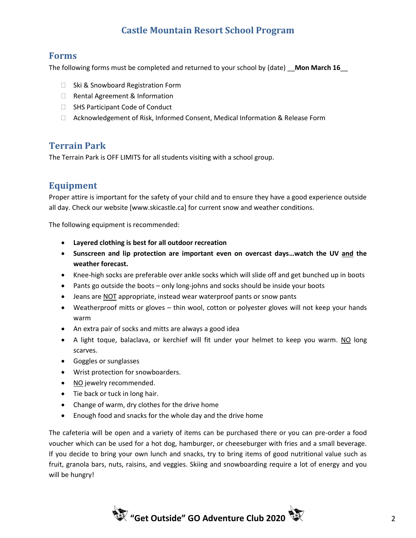## **Castle Mountain Resort School Program**

#### **Forms**

The following forms must be completed and returned to your school by (date) **Mon March 16** 

- □ Ski & Snowboard Registration Form
- □ Rental Agreement & Information
- □ SHS Participant Code of Conduct
- Acknowledgement of Risk, Informed Consent, Medical Information & Release Form

### **Terrain Park**

The Terrain Park is OFF LIMITS for all students visiting with a school group.

## **Equipment**

Proper attire is important for the safety of your child and to ensure they have a good experience outside all day. Check our website [www.skicastle.ca] for current snow and weather conditions.

The following equipment is recommended:

- **Layered clothing is best for all outdoor recreation**
- **Sunscreen and lip protection are important even on overcast days…watch the UV and the weather forecast.**
- Knee-high socks are preferable over ankle socks which will slide off and get bunched up in boots
- Pants go outside the boots only long-johns and socks should be inside your boots
- Jeans are NOT appropriate, instead wear waterproof pants or snow pants
- Weatherproof mitts or gloves thin wool, cotton or polyester gloves will not keep your hands warm
- An extra pair of socks and mitts are always a good idea
- A light toque, balaclava, or kerchief will fit under your helmet to keep you warm. NO long scarves.
- Goggles or sunglasses
- Wrist protection for snowboarders.
- NO jewelry recommended.
- Tie back or tuck in long hair.
- Change of warm, dry clothes for the drive home
- Enough food and snacks for the whole day and the drive home

The cafeteria will be open and a variety of items can be purchased there or you can pre-order a food voucher which can be used for a hot dog, hamburger, or cheeseburger with fries and a small beverage. If you decide to bring your own lunch and snacks, try to bring items of good nutritional value such as fruit, granola bars, nuts, raisins, and veggies. Skiing and snowboarding require a lot of energy and you will be hungry!

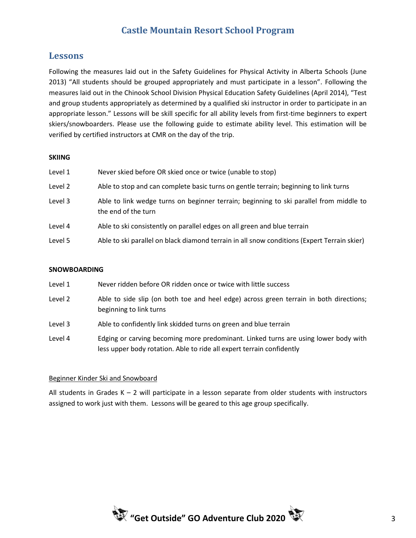## **Castle Mountain Resort School Program**

#### **Lessons**

Following the measures laid out in the Safety Guidelines for Physical Activity in Alberta Schools (June 2013) "All students should be grouped appropriately and must participate in a lesson". Following the measures laid out in the Chinook School Division Physical Education Safety Guidelines (April 2014), "Test and group students appropriately as determined by a qualified ski instructor in order to participate in an appropriate lesson." Lessons will be skill specific for all ability levels from first-time beginners to expert skiers/snowboarders. Please use the following guide to estimate ability level. This estimation will be verified by certified instructors at CMR on the day of the trip.

#### **SKIING**

| Level 1 | Never skied before OR skied once or twice (unable to stop)                                                    |
|---------|---------------------------------------------------------------------------------------------------------------|
| Level 2 | Able to stop and can complete basic turns on gentle terrain; beginning to link turns                          |
| Level 3 | Able to link wedge turns on beginner terrain; beginning to ski parallel from middle to<br>the end of the turn |
| Level 4 | Able to ski consistently on parallel edges on all green and blue terrain                                      |
| Level 5 | Able to ski parallel on black diamond terrain in all snow conditions (Expert Terrain skier)                   |

#### **SNOWBOARDING**

- Level 1 Never ridden before OR ridden once or twice with little success
- Level 2 Able to side slip (on both toe and heel edge) across green terrain in both directions; beginning to link turns
- Level 3 Able to confidently link skidded turns on green and blue terrain
- Level 4 Edging or carving becoming more predominant. Linked turns are using lower body with less upper body rotation. Able to ride all expert terrain confidently

#### Beginner Kinder Ski and Snowboard

All students in Grades  $K - 2$  will participate in a lesson separate from older students with instructors assigned to work just with them. Lessons will be geared to this age group specifically.

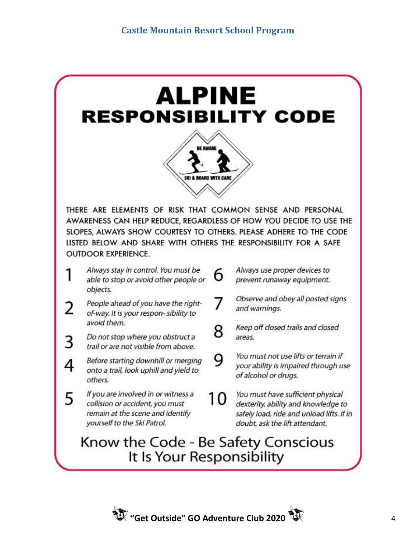

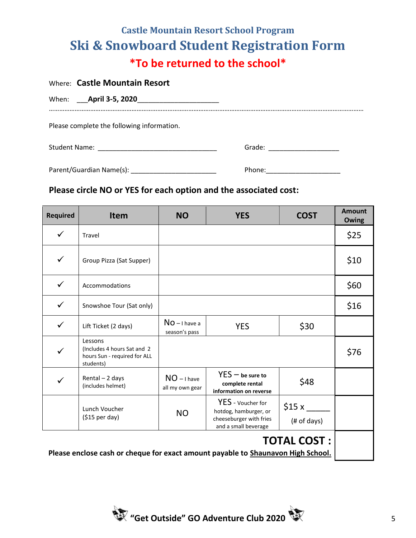# **Castle Mountain Resort School Program Ski & Snowboard Student Registration Form \*To be returned to the school\***

| Where: Castle Mountain Resort              |                          |
|--------------------------------------------|--------------------------|
| When: <b>April 3-5, 2020</b>               |                          |
| Please complete the following information. |                          |
| Student Name: <u>Name: Name Student</u>    | Grade: _________________ |

Parent/Guardian Name(s): \_\_\_\_\_\_\_\_\_\_\_\_\_\_\_\_\_\_\_\_\_\_\_ Phone:\_\_\_\_\_\_\_\_\_\_\_\_\_\_\_\_\_\_\_\_

## **Please circle NO or YES for each option and the associated cost:**

| <b>Required</b>                                                                                        | Item                                                                                | <b>NO</b>                        | <b>YES</b>                                                                                    | <b>COST</b>          | <b>Amount</b><br><b>Owing</b> |
|--------------------------------------------------------------------------------------------------------|-------------------------------------------------------------------------------------|----------------------------------|-----------------------------------------------------------------------------------------------|----------------------|-------------------------------|
| $\checkmark$                                                                                           | Travel                                                                              |                                  |                                                                                               |                      | \$25                          |
| $\checkmark$                                                                                           | Group Pizza (Sat Supper)                                                            |                                  |                                                                                               |                      | \$10                          |
| $\checkmark$                                                                                           | Accommodations                                                                      |                                  |                                                                                               |                      | \$60                          |
| $\checkmark$                                                                                           | Snowshoe Tour (Sat only)                                                            |                                  |                                                                                               |                      | \$16                          |
| $\checkmark$                                                                                           | Lift Ticket (2 days)                                                                | $NO - I$ have a<br>season's pass | <b>YES</b>                                                                                    | \$30                 |                               |
| ✓                                                                                                      | Lessons<br>(Includes 4 hours Sat and 2<br>hours Sun - required for ALL<br>students) |                                  |                                                                                               |                      | \$76                          |
|                                                                                                        | Rental - 2 days<br>(includes helmet)                                                | $NO - I$ have<br>all my own gear | $YES - be sure to$<br>complete rental<br>information on reverse                               | \$48                 |                               |
|                                                                                                        | Lunch Voucher<br>$( $15$ per day)                                                   | <b>NO</b>                        | YES - Voucher for<br>hotdog, hamburger, or<br>cheeseburger with fries<br>and a small beverage | \$15x<br>(# of days) |                               |
| <b>TOTAL COST:</b><br>Please enclose cash or cheque for exact amount payable to Shaunavon High School. |                                                                                     |                                  |                                                                                               |                      |                               |

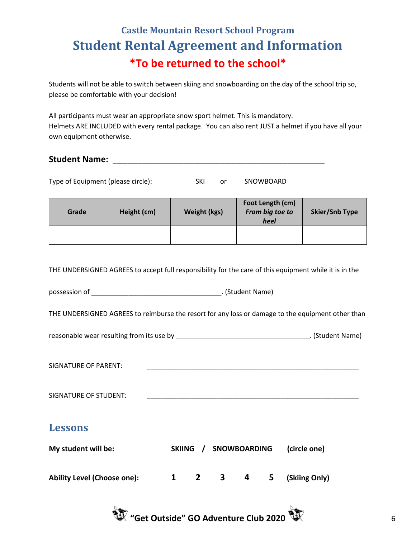# **Castle Mountain Resort School Program Student Rental Agreement and Information \*To be returned to the school\***

Students will not be able to switch between skiing and snowboarding on the day of the school trip so, please be comfortable with your decision!

All participants must wear an appropriate snow sport helmet. This is mandatory. Helmets ARE INCLUDED with every rental package. You can also rent JUST a helmet if you have all your own equipment otherwise.

## **Student Name:** \_\_\_\_\_\_\_\_\_\_\_\_\_\_\_\_\_\_\_\_\_\_\_\_\_\_\_\_\_\_\_\_\_\_\_\_\_\_\_\_\_\_\_\_\_\_\_\_\_\_\_\_\_\_\_\_\_

| Type of Equipment (please circle): |             | SKI<br>or    | SNOWBOARD                                   |                       |
|------------------------------------|-------------|--------------|---------------------------------------------|-----------------------|
| Grade                              | Height (cm) | Weight (kgs) | Foot Length (cm)<br>From big toe to<br>heel | <b>Skier/Snb Type</b> |

THE UNDERSIGNED AGREES to accept full responsibility for the care of this equipment while it is in the

possession of **Exercise 2 and Student Name**) and Student Name

THE UNDERSIGNED AGREES to reimburse the resort for any loss or damage to the equipment other than

reasonable wear resulting from its use by \_\_\_\_\_\_\_\_\_\_\_\_\_\_\_\_\_\_\_\_\_\_\_\_\_\_\_\_\_\_\_\_\_\_\_\_. (Student Name)

SIGNATURE OF PARENT:

SIGNATURE OF STUDENT:

## **Lessons**

| My student will be:                | SKIING / | <b>SNOWBOARDING</b> | (circle one)            |
|------------------------------------|----------|---------------------|-------------------------|
| <b>Ability Level (Choose one):</b> |          |                     | 1 2 3 4 5 (Skiing Only) |

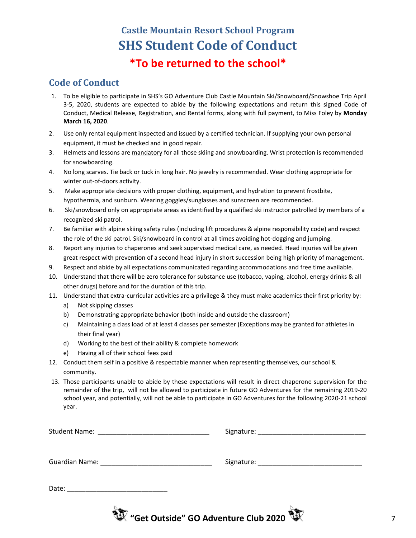# **Castle Mountain Resort School Program SHS Student Code of Conduct \*To be returned to the school\***

### **Code of Conduct**

- 1. To be eligible to participate in SHS's GO Adventure Club Castle Mountain Ski/Snowboard/Snowshoe Trip April 3-5, 2020, students are expected to abide by the following expectations and return this signed Code of Conduct, Medical Release, Registration, and Rental forms, along with full payment, to Miss Foley by **Monday March 16, 2020**.
- 2. Use only rental equipment inspected and issued by a certified technician. If supplying your own personal equipment, it must be checked and in good repair.
- 3. Helmets and lessons are mandatory for all those skiing and snowboarding. Wrist protection is recommended for snowboarding.
- 4. No long scarves. Tie back or tuck in long hair. No jewelry is recommended. Wear clothing appropriate for winter out-of-doors activity.
- 5. Make appropriate decisions with proper clothing, equipment, and hydration to prevent frostbite, hypothermia, and sunburn. Wearing goggles/sunglasses and sunscreen are recommended.
- 6. Ski/snowboard only on appropriate areas as identified by a qualified ski instructor patrolled by members of a recognized ski patrol.
- 7. Be familiar with alpine skiing safety rules (including lift procedures & alpine responsibility code) and respect the role of the ski patrol. Ski/snowboard in control at all times avoiding hot-dogging and jumping.
- 8. Report any injuries to chaperones and seek supervised medical care, as needed. Head injuries will be given great respect with prevention of a second head injury in short succession being high priority of management.
- 9. Respect and abide by all expectations communicated regarding accommodations and free time available.
- 10. Understand that there will be zero tolerance for substance use (tobacco, vaping, alcohol, energy drinks & all other drugs) before and for the duration of this trip.
- 11. Understand that extra-curricular activities are a privilege & they must make academics their first priority by:
	- a) Not skipping classes
	- b) Demonstrating appropriate behavior (both inside and outside the classroom)
	- c) Maintaining a class load of at least 4 classes per semester (Exceptions may be granted for athletes in their final year)
	- d) Working to the best of their ability & complete homework
	- e) Having all of their school fees paid
- 12. Conduct them self in a positive & respectable manner when representing themselves, our school & community.
- 13. Those participants unable to abide by these expectations will result in direct chaperone supervision for the remainder of the trip, will not be allowed to participate in future GO Adventures for the remaining 2019-20 school year, and potentially, will not be able to participate in GO Adventures for the following 2020-21 school year.